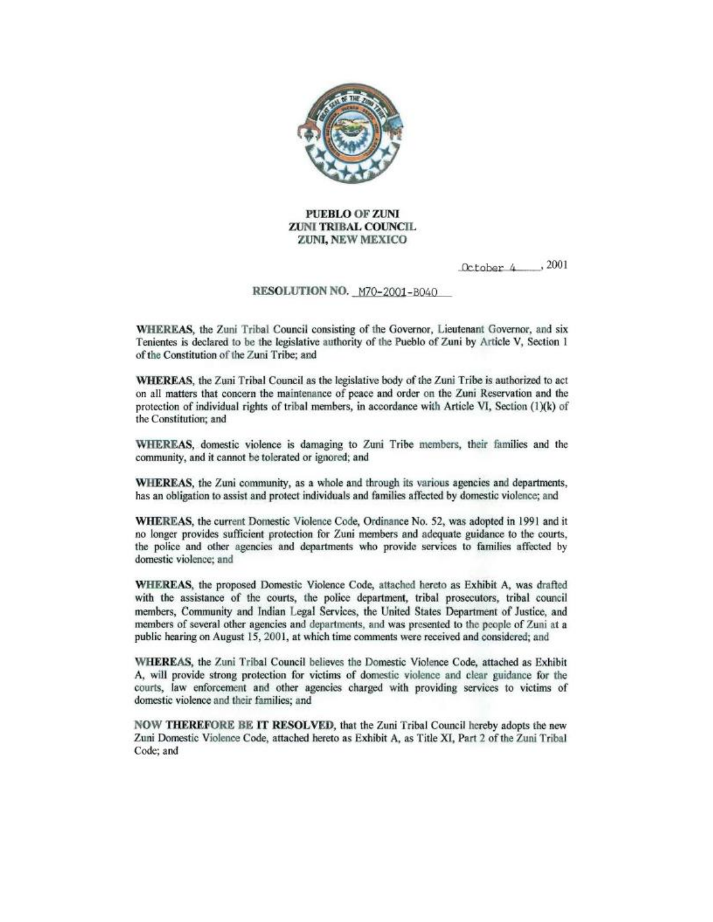

#### **PUEBLO OF ZUNI ZUNI TRIBAL COUNCIL** ZUNI, NEW MEXICO

October 4, 2001

#### RESOLUTION NO. M70-2001-B040

WHEREAS, the Zuni Tribal Council consisting of the Governor, Lieutenant Governor, and six Tenientes is declared to be the legislative authority of the Pueblo of Zuni by Article V, Section 1 of the Constitution of the Zuni Tribe; and

WHEREAS, the Zuni Tribal Council as the legislative body of the Zuni Tribe is authorized to act on all matters that concern the maintenance of peace and order on the Zuni Reservation and the protection of individual rights of tribal members, in accordance with Article VI, Section (1)(k) of the Constitution; and

WHEREAS, domestic violence is damaging to Zuni Tribe members, their families and the community, and it cannot be tolerated or ignored; and

WHEREAS, the Zuni community, as a whole and through its various agencies and departments. has an obligation to assist and protect individuals and families affected by domestic violence; and

WHEREAS, the current Domestic Violence Code, Ordinance No. 52, was adopted in 1991 and it no longer provides sufficient protection for Zuni members and adequate guidance to the courts. the police and other agencies and departments who provide services to families affected by domestic violence; and

WHEREAS, the proposed Domestic Violence Code, attached hereto as Exhibit A, was drafted with the assistance of the courts, the police department, tribal prosecutors, tribal council members, Community and Indian Legal Services, the United States Department of Justice, and members of several other agencies and departments, and was presented to the people of Zuni at a public hearing on August 15, 2001, at which time comments were received and considered; and

WHEREAS, the Zuni Tribal Council believes the Domestic Violence Code, attached as Exhibit A, will provide strong protection for victims of domestic violence and clear guidance for the courts, law enforcement and other agencies charged with providing services to victims of domestic violence and their families; and

NOW THEREFORE BE IT RESOLVED, that the Zuni Tribal Council hereby adopts the new Zuni Domestic Violence Code, attached hereto as Exhibit A, as Title XI, Part 2 of the Zuni Tribal Code; and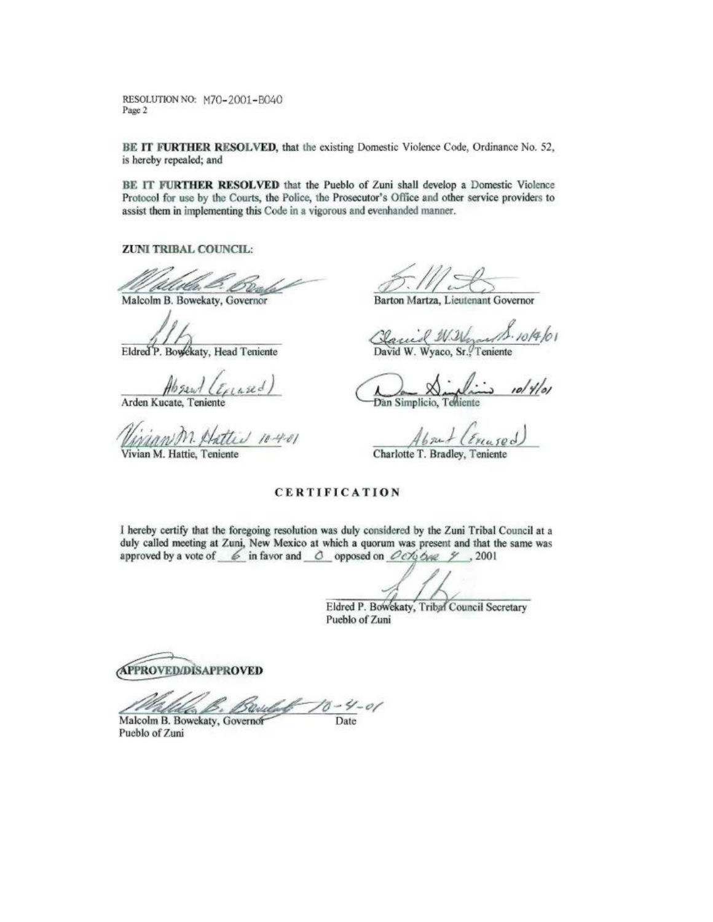RESOLUTION NO: M70-2001-B040 Page 2

BE IT FURTHER RESOLVED, that the existing Domestic Violence Code, Ordinance No. 52, is hereby repealed; and

BE IT FURTHER RESOLVED that the Pueblo of Zuni shall develop a Domestic Violence Protocol for use by the Courts, the Police, the Prosecutor's Office and other service providers to assist them in implementing this Code in a vigorous and evenhanded manner.

ZUNI TRIBAL COUNCIL:

D. Dende

Malcolm B. Bowekaty, Governor

Eldred P. Bowekaty, Head Teniente

 $\frac{\text{Ab} \text{Re} \sqrt{\ell_{\text{Plan}} \text{Re} \ell}}{A \text{rden Kucate, Teniente}}$ 

issan M. Hattin 10-4-01

Vivian M. Hattie, Tenient

 $5.112$ 

Barton Martza, Lieutenant Governor

Claud W. Word 10/4/01

Dan Simplicio, Tehiens 10/4/01

rased  $4b$  sub  $(\epsilon)$ 

Charlotte T. Bradley,

#### **CERTIFICATION**

I hereby certify that the foregoing resolution was duly considered by the Zuni Tribal Council at a duly called meeting at Zuni, New Mexico at which a quorum was present and that the same was approved by a vote of  $\&$  in favor and  $\&$  opposed on  $Oe\rightarrow\&\rightarrow$  . 2001

Eldred P. Bowekaty, Tribal Council Secretary Pueblo of Zuni

**APPROVED/DISAPPROVED** 

Stelefort  $70 - 4 - 01$ 

Malcolm B. Bowekaty, Governor Pueblo of Zuni

Date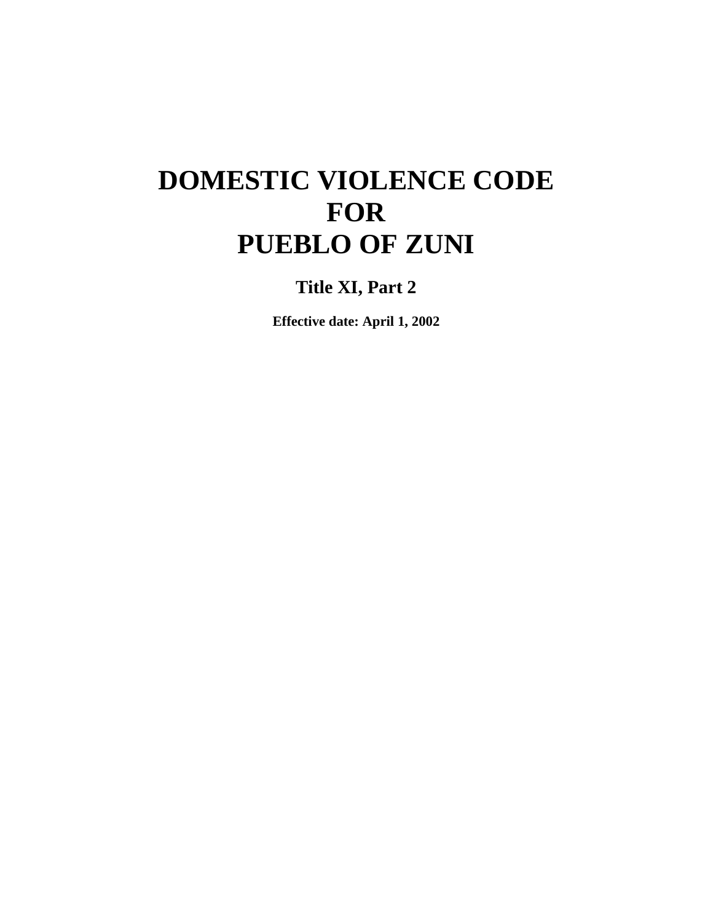# **DOMESTIC VIOLENCE CODE FOR PUEBLO OF ZUNI**

**Title XI, Part 2**

**Effective date: April 1, 2002**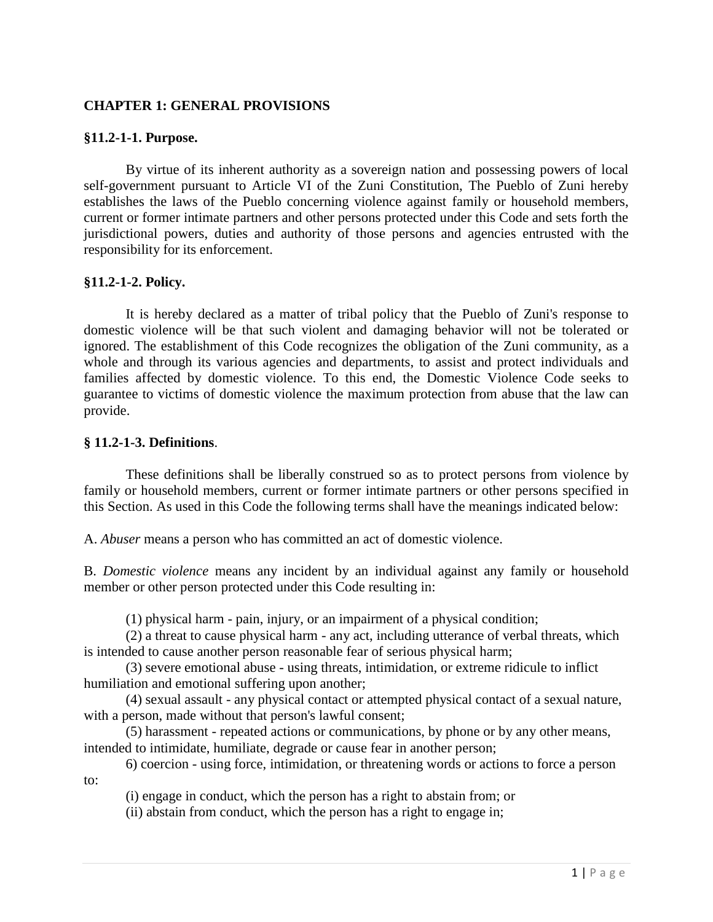## **CHAPTER 1: GENERAL PROVISIONS**

#### **§11.2-1-1. Purpose.**

By virtue of its inherent authority as a sovereign nation and possessing powers of local self-government pursuant to Article VI of the Zuni Constitution, The Pueblo of Zuni hereby establishes the laws of the Pueblo concerning violence against family or household members, current or former intimate partners and other persons protected under this Code and sets forth the jurisdictional powers, duties and authority of those persons and agencies entrusted with the responsibility for its enforcement.

#### **§11.2-1-2. Policy.**

It is hereby declared as a matter of tribal policy that the Pueblo of Zuni's response to domestic violence will be that such violent and damaging behavior will not be tolerated or ignored. The establishment of this Code recognizes the obligation of the Zuni community, as a whole and through its various agencies and departments, to assist and protect individuals and families affected by domestic violence. To this end, the Domestic Violence Code seeks to guarantee to victims of domestic violence the maximum protection from abuse that the law can provide.

#### **§ 11.2-1-3. Definitions**.

These definitions shall be liberally construed so as to protect persons from violence by family or household members, current or former intimate partners or other persons specified in this Section. As used in this Code the following terms shall have the meanings indicated below:

A. *Abuser* means a person who has committed an act of domestic violence.

B. *Domestic violence* means any incident by an individual against any family or household member or other person protected under this Code resulting in:

(1) physical harm - pain, injury, or an impairment of a physical condition;

(2) a threat to cause physical harm - any act, including utterance of verbal threats, which is intended to cause another person reasonable fear of serious physical harm;

(3) severe emotional abuse - using threats, intimidation, or extreme ridicule to inflict humiliation and emotional suffering upon another;

(4) sexual assault - any physical contact or attempted physical contact of a sexual nature, with a person, made without that person's lawful consent;

(5) harassment - repeated actions or communications, by phone or by any other means, intended to intimidate, humiliate, degrade or cause fear in another person;

6) coercion - using force, intimidation, or threatening words or actions to force a person to:

(i) engage in conduct, which the person has a right to abstain from; or

(ii) abstain from conduct, which the person has a right to engage in;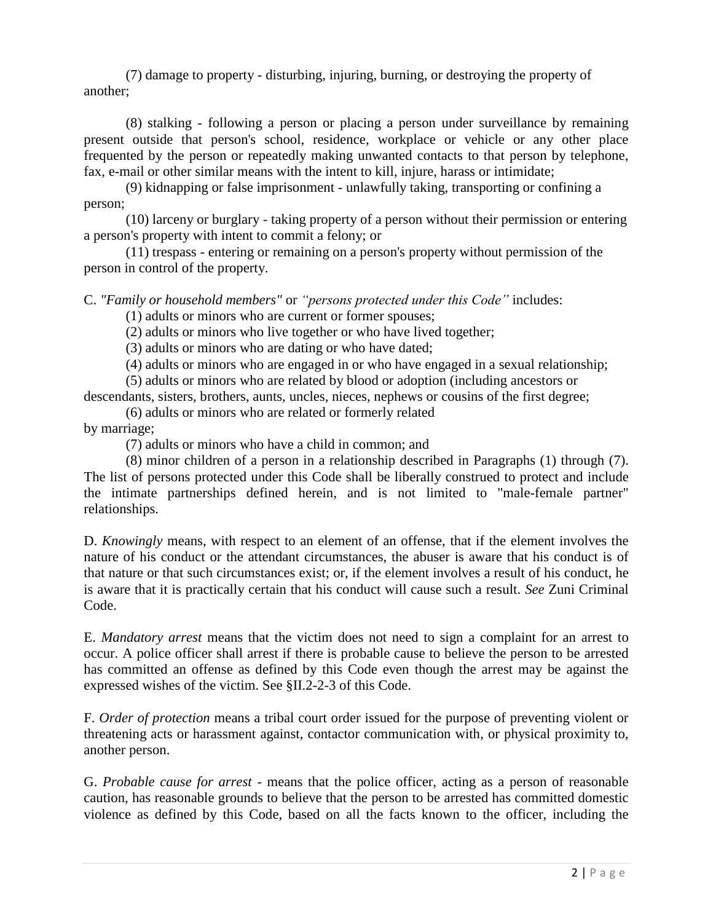(7) damage to property - disturbing, injuring, burning, or destroying the property of another;

(8) stalking - following a person or placing a person under surveillance by remaining present outside that person's school, residence, workplace or vehicle or any other place frequented by the person or repeatedly making unwanted contacts to that person by telephone, fax, e-mail or other similar means with the intent to kill, injure, harass or intimidate;

(9) kidnapping or false imprisonment - unlawfully taking, transporting or confining a person;

(10) larceny or burglary - taking property of a person without their permission or entering a person's property with intent to commit a felony; or

(11) trespass - entering or remaining on a person's property without permission of the person in control of the property.

#### C. *"Family or household members"* or *"persons protected under this Code"* includes:

(1) adults or minors who are current or former spouses;

(2) adults or minors who live together or who have lived together;

(3) adults or minors who are dating or who have dated;

(4) adults or minors who are engaged in or who have engaged in a sexual relationship;

(5) adults or minors who are related by blood or adoption (including ancestors or

descendants, sisters, brothers, aunts, uncles, nieces, nephews or cousins of the first degree;

(6) adults or minors who are related or formerly related

by marriage;

(7) adults or minors who have a child in common; and

(8) minor children of a person in a relationship described in Paragraphs (1) through (7). The list of persons protected under this Code shall be liberally construed to protect and include the intimate partnerships defined herein, and is not limited to "male-female partner" relationships.

D. *Knowingly* means, with respect to an element of an offense, that if the element involves the nature of his conduct or the attendant circumstances, the abuser is aware that his conduct is of that nature or that such circumstances exist; or, if the element involves a result of his conduct, he is aware that it is practically certain that his conduct will cause such a result. *See* Zuni Criminal Code.

E. *Mandatory arrest* means that the victim does not need to sign a complaint for an arrest to occur. A police officer shall arrest if there is probable cause to believe the person to be arrested has committed an offense as defined by this Code even though the arrest may be against the expressed wishes of the victim. See §II.2-2-3 of this Code.

F. *Order of protection* means a tribal court order issued for the purpose of preventing violent or threatening acts or harassment against, contactor communication with, or physical proximity to, another person.

G. *Probable cause for arrest -* means that the police officer, acting as a person of reasonable caution, has reasonable grounds to believe that the person to be arrested has committed domestic violence as defined by this Code, based on all the facts known to the officer, including the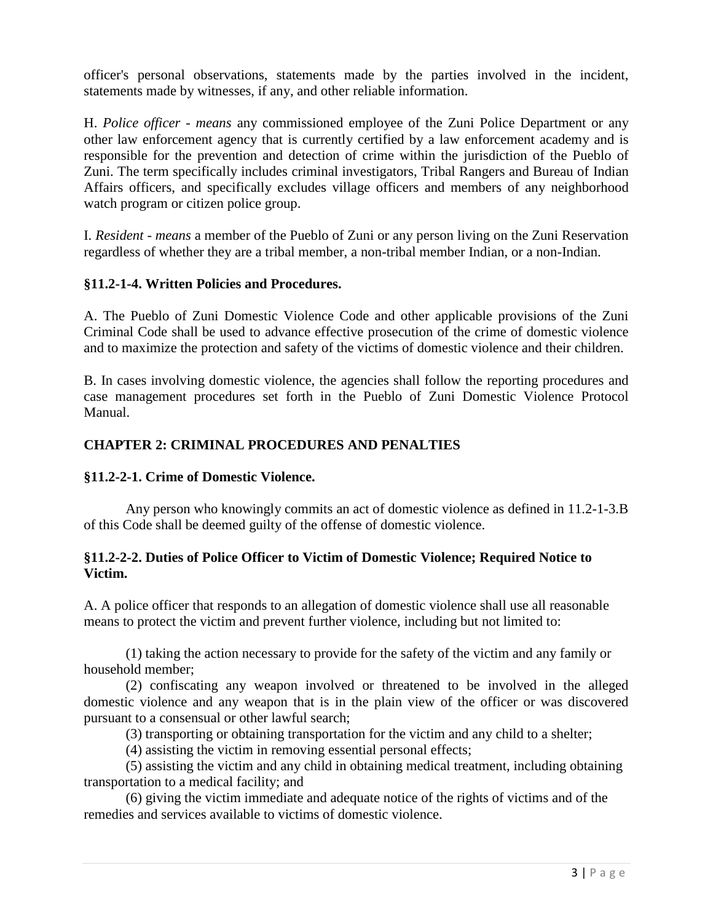officer's personal observations, statements made by the parties involved in the incident, statements made by witnesses, if any, and other reliable information.

H. *Police officer - means* any commissioned employee of the Zuni Police Department or any other law enforcement agency that is currently certified by a law enforcement academy and is responsible for the prevention and detection of crime within the jurisdiction of the Pueblo of Zuni. The term specifically includes criminal investigators, Tribal Rangers and Bureau of Indian Affairs officers, and specifically excludes village officers and members of any neighborhood watch program or citizen police group.

I. *Resident - means* a member of the Pueblo of Zuni or any person living on the Zuni Reservation regardless of whether they are a tribal member, a non-tribal member Indian, or a non-Indian.

#### **§11.2-1-4. Written Policies and Procedures.**

A. The Pueblo of Zuni Domestic Violence Code and other applicable provisions of the Zuni Criminal Code shall be used to advance effective prosecution of the crime of domestic violence and to maximize the protection and safety of the victims of domestic violence and their children.

B. In cases involving domestic violence, the agencies shall follow the reporting procedures and case management procedures set forth in the Pueblo of Zuni Domestic Violence Protocol Manual.

# **CHAPTER 2: CRIMINAL PROCEDURES AND PENALTIES**

#### **§11.2-2-1. Crime of Domestic Violence.**

Any person who knowingly commits an act of domestic violence as defined in 11.2-1-3.B of this Code shall be deemed guilty of the offense of domestic violence.

#### **§11.2-2-2. Duties of Police Officer to Victim of Domestic Violence; Required Notice to Victim.**

A. A police officer that responds to an allegation of domestic violence shall use all reasonable means to protect the victim and prevent further violence, including but not limited to:

(1) taking the action necessary to provide for the safety of the victim and any family or household member;

(2) confiscating any weapon involved or threatened to be involved in the alleged domestic violence and any weapon that is in the plain view of the officer or was discovered pursuant to a consensual or other lawful search;

(3) transporting or obtaining transportation for the victim and any child to a shelter;

(4) assisting the victim in removing essential personal effects;

(5) assisting the victim and any child in obtaining medical treatment, including obtaining transportation to a medical facility; and

(6) giving the victim immediate and adequate notice of the rights of victims and of the remedies and services available to victims of domestic violence.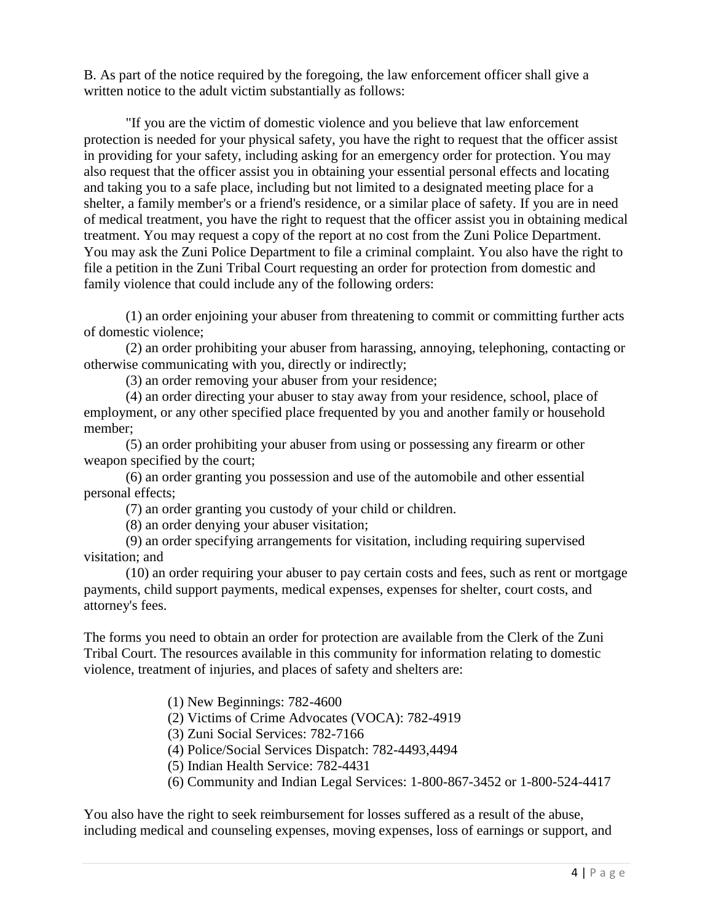B. As part of the notice required by the foregoing, the law enforcement officer shall give a written notice to the adult victim substantially as follows:

"If you are the victim of domestic violence and you believe that law enforcement protection is needed for your physical safety, you have the right to request that the officer assist in providing for your safety, including asking for an emergency order for protection. You may also request that the officer assist you in obtaining your essential personal effects and locating and taking you to a safe place, including but not limited to a designated meeting place for a shelter, a family member's or a friend's residence, or a similar place of safety. If you are in need of medical treatment, you have the right to request that the officer assist you in obtaining medical treatment. You may request a copy of the report at no cost from the Zuni Police Department. You may ask the Zuni Police Department to file a criminal complaint. You also have the right to file a petition in the Zuni Tribal Court requesting an order for protection from domestic and family violence that could include any of the following orders:

(1) an order enjoining your abuser from threatening to commit or committing further acts of domestic violence;

(2) an order prohibiting your abuser from harassing, annoying, telephoning, contacting or otherwise communicating with you, directly or indirectly;

(3) an order removing your abuser from your residence;

(4) an order directing your abuser to stay away from your residence, school, place of employment, or any other specified place frequented by you and another family or household member;

(5) an order prohibiting your abuser from using or possessing any firearm or other weapon specified by the court;

(6) an order granting you possession and use of the automobile and other essential personal effects;

(7) an order granting you custody of your child or children.

(8) an order denying your abuser visitation;

(9) an order specifying arrangements for visitation, including requiring supervised visitation; and

(10) an order requiring your abuser to pay certain costs and fees, such as rent or mortgage payments, child support payments, medical expenses, expenses for shelter, court costs, and attorney's fees.

The forms you need to obtain an order for protection are available from the Clerk of the Zuni Tribal Court. The resources available in this community for information relating to domestic violence, treatment of injuries, and places of safety and shelters are:

(1) New Beginnings: 782-4600

(2) Victims of Crime Advocates (VOCA): 782-4919

(3) Zuni Social Services: 782-7166

(4) Police/Social Services Dispatch: 782-4493,4494

(5) Indian Health Service: 782-4431

(6) Community and Indian Legal Services: 1-800-867-3452 or 1-800-524-4417

You also have the right to seek reimbursement for losses suffered as a result of the abuse, including medical and counseling expenses, moving expenses, loss of earnings or support, and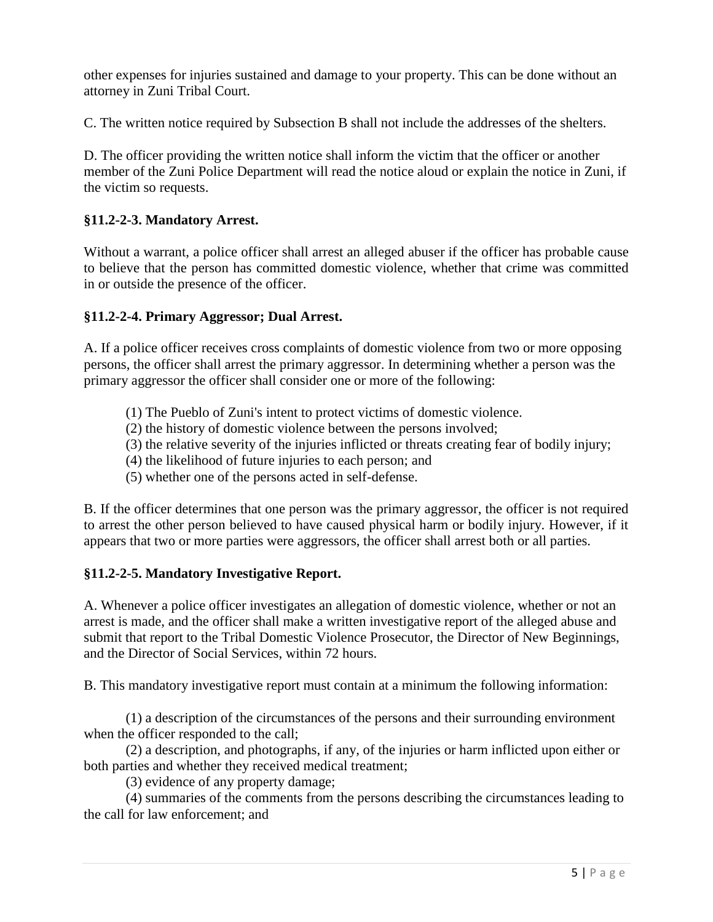other expenses for injuries sustained and damage to your property. This can be done without an attorney in Zuni Tribal Court.

C. The written notice required by Subsection B shall not include the addresses of the shelters.

D. The officer providing the written notice shall inform the victim that the officer or another member of the Zuni Police Department will read the notice aloud or explain the notice in Zuni, if the victim so requests.

## **§11.2-2-3. Mandatory Arrest.**

Without a warrant, a police officer shall arrest an alleged abuser if the officer has probable cause to believe that the person has committed domestic violence, whether that crime was committed in or outside the presence of the officer.

#### **§11.2-2-4. Primary Aggressor; Dual Arrest.**

A. If a police officer receives cross complaints of domestic violence from two or more opposing persons, the officer shall arrest the primary aggressor. In determining whether a person was the primary aggressor the officer shall consider one or more of the following:

- (1) The Pueblo of Zuni's intent to protect victims of domestic violence.
- (2) the history of domestic violence between the persons involved;
- (3) the relative severity of the injuries inflicted or threats creating fear of bodily injury;
- (4) the likelihood of future injuries to each person; and
- (5) whether one of the persons acted in self-defense.

B. If the officer determines that one person was the primary aggressor, the officer is not required to arrest the other person believed to have caused physical harm or bodily injury. However, if it appears that two or more parties were aggressors, the officer shall arrest both or all parties.

# **§11.2-2-5. Mandatory Investigative Report.**

A. Whenever a police officer investigates an allegation of domestic violence, whether or not an arrest is made, and the officer shall make a written investigative report of the alleged abuse and submit that report to the Tribal Domestic Violence Prosecutor, the Director of New Beginnings, and the Director of Social Services, within 72 hours.

B. This mandatory investigative report must contain at a minimum the following information:

(1) a description of the circumstances of the persons and their surrounding environment when the officer responded to the call;

(2) a description, and photographs, if any, of the injuries or harm inflicted upon either or both parties and whether they received medical treatment;

(3) evidence of any property damage;

(4) summaries of the comments from the persons describing the circumstances leading to the call for law enforcement; and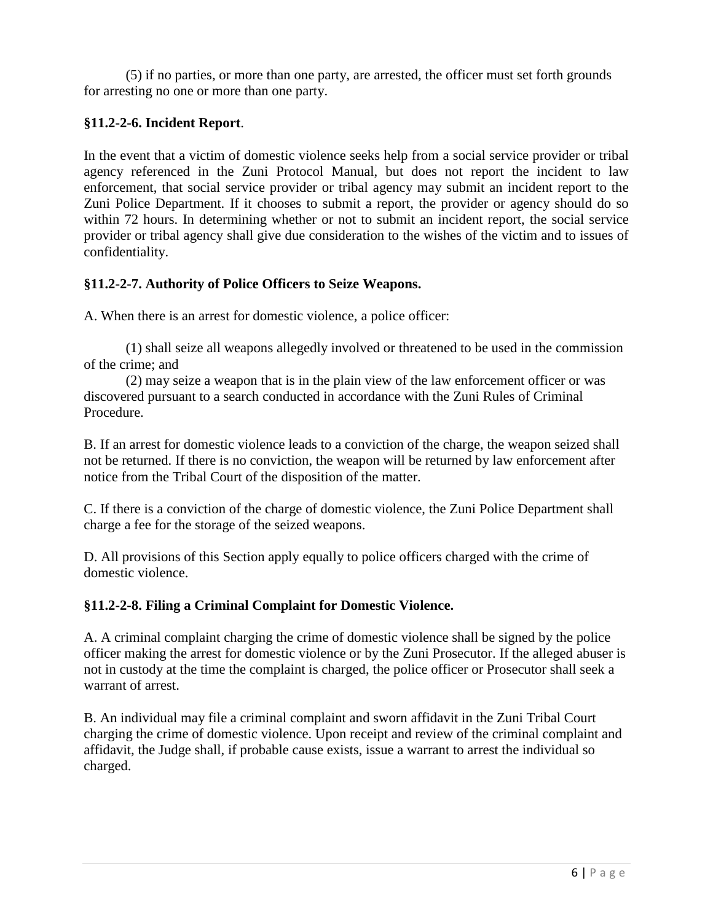(5) if no parties, or more than one party, are arrested, the officer must set forth grounds for arresting no one or more than one party.

# **§11.2-2-6. Incident Report**.

In the event that a victim of domestic violence seeks help from a social service provider or tribal agency referenced in the Zuni Protocol Manual, but does not report the incident to law enforcement, that social service provider or tribal agency may submit an incident report to the Zuni Police Department. If it chooses to submit a report, the provider or agency should do so within 72 hours. In determining whether or not to submit an incident report, the social service provider or tribal agency shall give due consideration to the wishes of the victim and to issues of confidentiality.

# **§11.2-2-7. Authority of Police Officers to Seize Weapons.**

A. When there is an arrest for domestic violence, a police officer:

(1) shall seize all weapons allegedly involved or threatened to be used in the commission of the crime; and

(2) may seize a weapon that is in the plain view of the law enforcement officer or was discovered pursuant to a search conducted in accordance with the Zuni Rules of Criminal Procedure.

B. If an arrest for domestic violence leads to a conviction of the charge, the weapon seized shall not be returned. If there is no conviction, the weapon will be returned by law enforcement after notice from the Tribal Court of the disposition of the matter.

C. If there is a conviction of the charge of domestic violence, the Zuni Police Department shall charge a fee for the storage of the seized weapons.

D. All provisions of this Section apply equally to police officers charged with the crime of domestic violence.

# **§11.2-2-8. Filing a Criminal Complaint for Domestic Violence.**

A. A criminal complaint charging the crime of domestic violence shall be signed by the police officer making the arrest for domestic violence or by the Zuni Prosecutor. If the alleged abuser is not in custody at the time the complaint is charged, the police officer or Prosecutor shall seek a warrant of arrest.

B. An individual may file a criminal complaint and sworn affidavit in the Zuni Tribal Court charging the crime of domestic violence. Upon receipt and review of the criminal complaint and affidavit, the Judge shall, if probable cause exists, issue a warrant to arrest the individual so charged.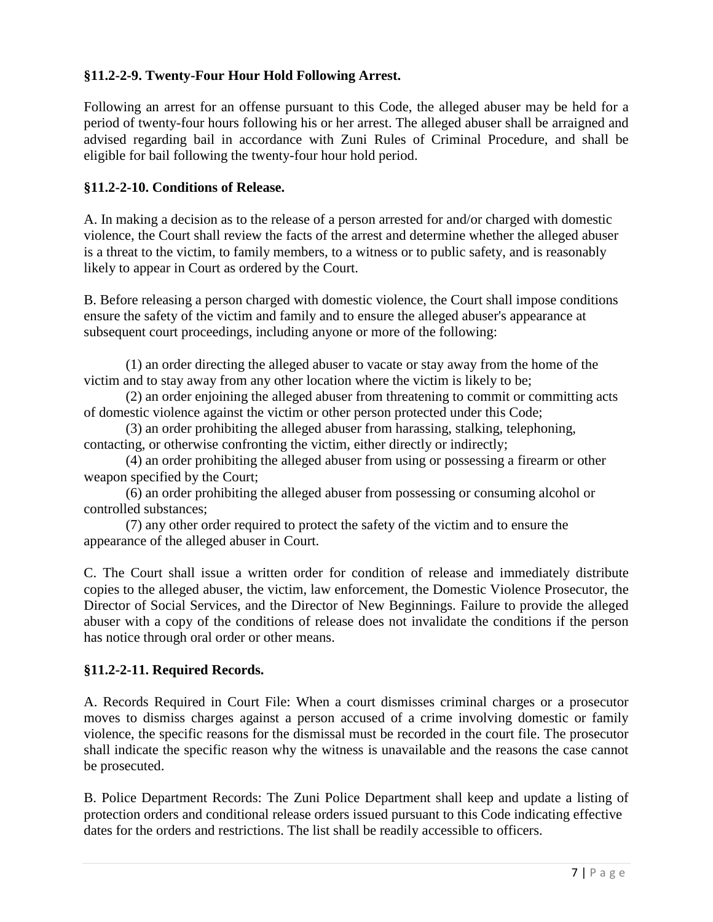# **§11.2-2-9. Twenty-Four Hour Hold Following Arrest.**

Following an arrest for an offense pursuant to this Code, the alleged abuser may be held for a period of twenty-four hours following his or her arrest. The alleged abuser shall be arraigned and advised regarding bail in accordance with Zuni Rules of Criminal Procedure, and shall be eligible for bail following the twenty-four hour hold period.

# **§11.2-2-10. Conditions of Release.**

A. In making a decision as to the release of a person arrested for and/or charged with domestic violence, the Court shall review the facts of the arrest and determine whether the alleged abuser is a threat to the victim, to family members, to a witness or to public safety, and is reasonably likely to appear in Court as ordered by the Court.

B. Before releasing a person charged with domestic violence, the Court shall impose conditions ensure the safety of the victim and family and to ensure the alleged abuser's appearance at subsequent court proceedings, including anyone or more of the following:

(1) an order directing the alleged abuser to vacate or stay away from the home of the victim and to stay away from any other location where the victim is likely to be;

(2) an order enjoining the alleged abuser from threatening to commit or committing acts of domestic violence against the victim or other person protected under this Code;

(3) an order prohibiting the alleged abuser from harassing, stalking, telephoning, contacting, or otherwise confronting the victim, either directly or indirectly;

(4) an order prohibiting the alleged abuser from using or possessing a firearm or other weapon specified by the Court;

(6) an order prohibiting the alleged abuser from possessing or consuming alcohol or controlled substances;

(7) any other order required to protect the safety of the victim and to ensure the appearance of the alleged abuser in Court.

C. The Court shall issue a written order for condition of release and immediately distribute copies to the alleged abuser, the victim, law enforcement, the Domestic Violence Prosecutor, the Director of Social Services, and the Director of New Beginnings. Failure to provide the alleged abuser with a copy of the conditions of release does not invalidate the conditions if the person has notice through oral order or other means.

# **§11.2-2-11. Required Records.**

A. Records Required in Court File: When a court dismisses criminal charges or a prosecutor moves to dismiss charges against a person accused of a crime involving domestic or family violence, the specific reasons for the dismissal must be recorded in the court file. The prosecutor shall indicate the specific reason why the witness is unavailable and the reasons the case cannot be prosecuted.

B. Police Department Records: The Zuni Police Department shall keep and update a listing of protection orders and conditional release orders issued pursuant to this Code indicating effective dates for the orders and restrictions. The list shall be readily accessible to officers.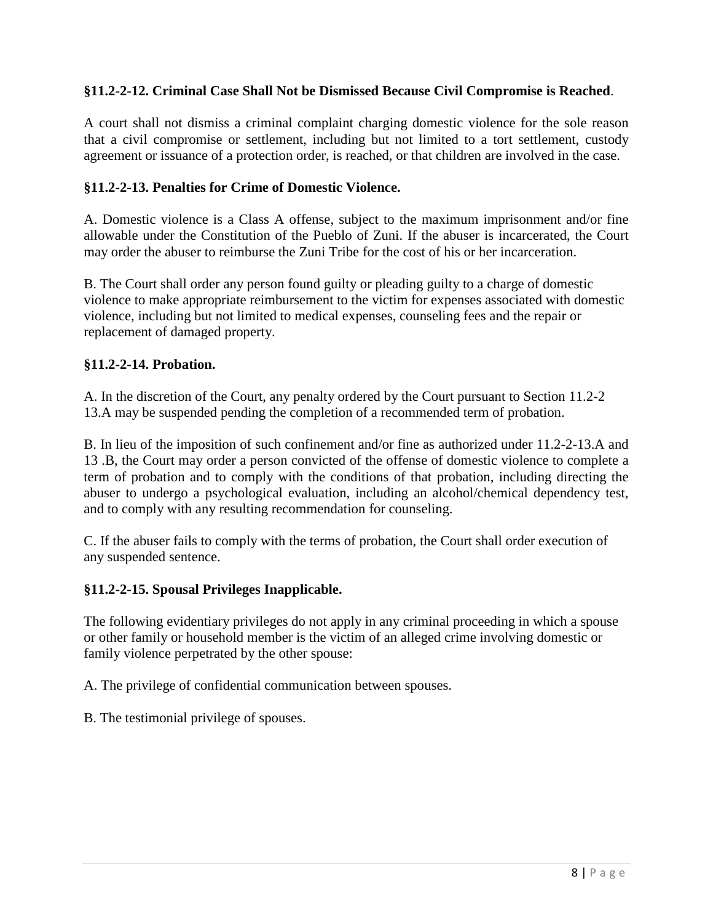## **§11.2-2-12. Criminal Case Shall Not be Dismissed Because Civil Compromise is Reached**.

A court shall not dismiss a criminal complaint charging domestic violence for the sole reason that a civil compromise or settlement, including but not limited to a tort settlement, custody agreement or issuance of a protection order, is reached, or that children are involved in the case.

#### **§11.2-2-13. Penalties for Crime of Domestic Violence.**

A. Domestic violence is a Class A offense, subject to the maximum imprisonment and/or fine allowable under the Constitution of the Pueblo of Zuni. If the abuser is incarcerated, the Court may order the abuser to reimburse the Zuni Tribe for the cost of his or her incarceration.

B. The Court shall order any person found guilty or pleading guilty to a charge of domestic violence to make appropriate reimbursement to the victim for expenses associated with domestic violence, including but not limited to medical expenses, counseling fees and the repair or replacement of damaged property.

#### **§11.2-2-14. Probation.**

A. In the discretion of the Court, any penalty ordered by the Court pursuant to Section 11.2-2 13.A may be suspended pending the completion of a recommended term of probation.

B. In lieu of the imposition of such confinement and/or fine as authorized under 11.2-2-13.A and 13 .B, the Court may order a person convicted of the offense of domestic violence to complete a term of probation and to comply with the conditions of that probation, including directing the abuser to undergo a psychological evaluation, including an alcohol/chemical dependency test, and to comply with any resulting recommendation for counseling.

C. If the abuser fails to comply with the terms of probation, the Court shall order execution of any suspended sentence.

#### **§11.2-2-15. Spousal Privileges Inapplicable.**

The following evidentiary privileges do not apply in any criminal proceeding in which a spouse or other family or household member is the victim of an alleged crime involving domestic or family violence perpetrated by the other spouse:

A. The privilege of confidential communication between spouses.

B. The testimonial privilege of spouses.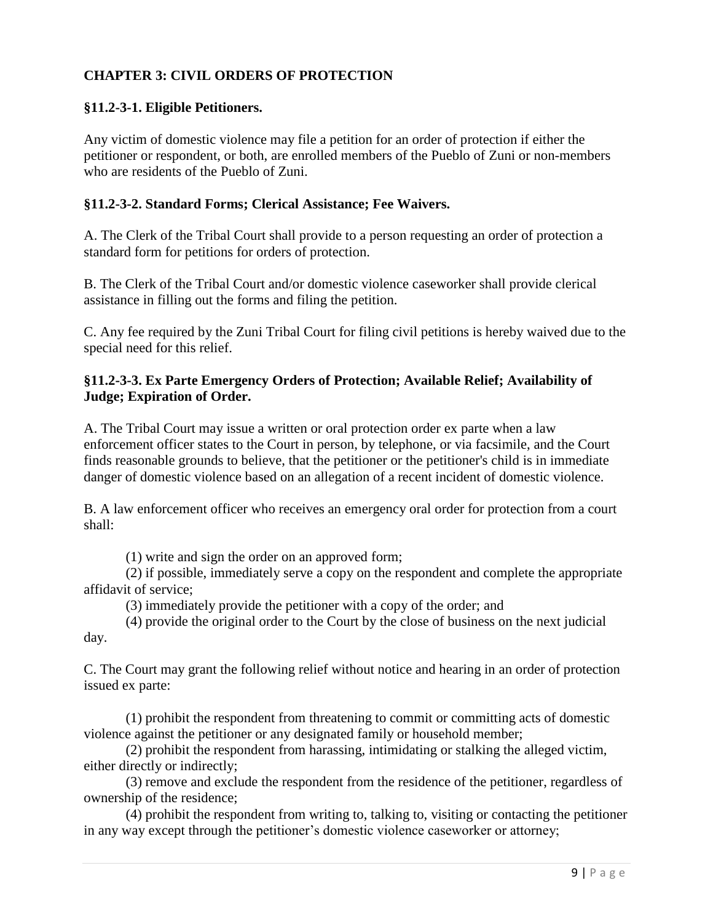# **CHAPTER 3: CIVIL ORDERS OF PROTECTION**

#### **§11.2-3-1. Eligible Petitioners.**

Any victim of domestic violence may file a petition for an order of protection if either the petitioner or respondent, or both, are enrolled members of the Pueblo of Zuni or non-members who are residents of the Pueblo of Zuni.

#### **§11.2-3-2. Standard Forms; Clerical Assistance; Fee Waivers.**

A. The Clerk of the Tribal Court shall provide to a person requesting an order of protection a standard form for petitions for orders of protection.

B. The Clerk of the Tribal Court and/or domestic violence caseworker shall provide clerical assistance in filling out the forms and filing the petition.

C. Any fee required by the Zuni Tribal Court for filing civil petitions is hereby waived due to the special need for this relief.

# **§11.2-3-3. Ex Parte Emergency Orders of Protection; Available Relief; Availability of Judge; Expiration of Order.**

A. The Tribal Court may issue a written or oral protection order ex parte when a law enforcement officer states to the Court in person, by telephone, or via facsimile, and the Court finds reasonable grounds to believe, that the petitioner or the petitioner's child is in immediate danger of domestic violence based on an allegation of a recent incident of domestic violence.

B. A law enforcement officer who receives an emergency oral order for protection from a court shall:

(1) write and sign the order on an approved form;

(2) if possible, immediately serve a copy on the respondent and complete the appropriate affidavit of service;

(3) immediately provide the petitioner with a copy of the order; and

(4) provide the original order to the Court by the close of business on the next judicial day.

C. The Court may grant the following relief without notice and hearing in an order of protection issued ex parte:

(1) prohibit the respondent from threatening to commit or committing acts of domestic violence against the petitioner or any designated family or household member;

(2) prohibit the respondent from harassing, intimidating or stalking the alleged victim, either directly or indirectly;

(3) remove and exclude the respondent from the residence of the petitioner, regardless of ownership of the residence;

(4) prohibit the respondent from writing to, talking to, visiting or contacting the petitioner in any way except through the petitioner's domestic violence caseworker or attorney;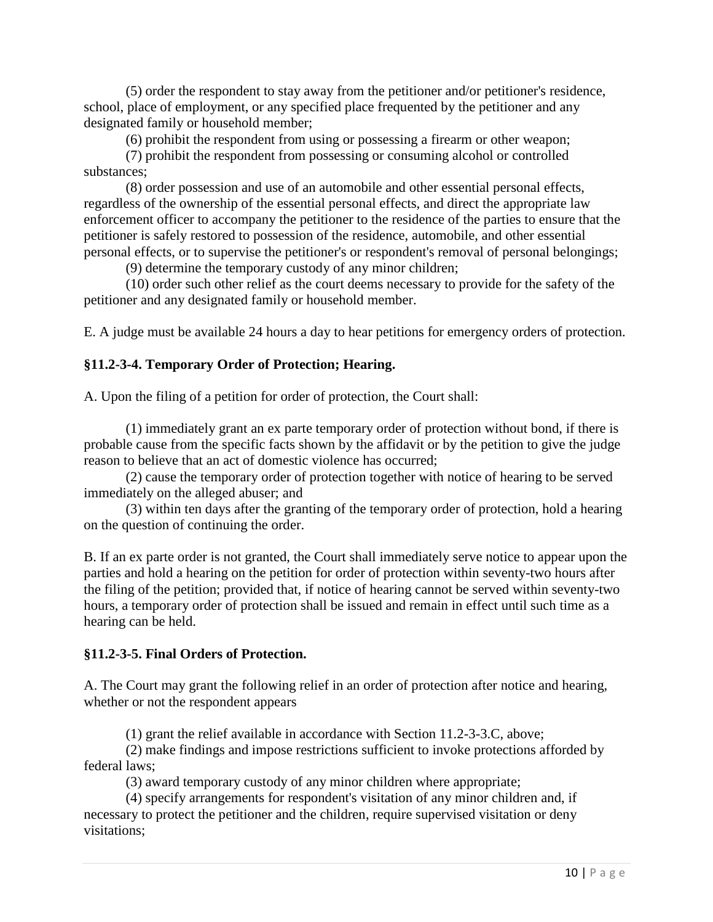(5) order the respondent to stay away from the petitioner and/or petitioner's residence, school, place of employment, or any specified place frequented by the petitioner and any designated family or household member;

(6) prohibit the respondent from using or possessing a firearm or other weapon;

(7) prohibit the respondent from possessing or consuming alcohol or controlled substances;

(8) order possession and use of an automobile and other essential personal effects, regardless of the ownership of the essential personal effects, and direct the appropriate law enforcement officer to accompany the petitioner to the residence of the parties to ensure that the petitioner is safely restored to possession of the residence, automobile, and other essential personal effects, or to supervise the petitioner's or respondent's removal of personal belongings;

(9) determine the temporary custody of any minor children;

(10) order such other relief as the court deems necessary to provide for the safety of the petitioner and any designated family or household member.

E. A judge must be available 24 hours a day to hear petitions for emergency orders of protection.

# **§11.2-3-4. Temporary Order of Protection; Hearing.**

A. Upon the filing of a petition for order of protection, the Court shall:

(1) immediately grant an ex parte temporary order of protection without bond, if there is probable cause from the specific facts shown by the affidavit or by the petition to give the judge reason to believe that an act of domestic violence has occurred;

(2) cause the temporary order of protection together with notice of hearing to be served immediately on the alleged abuser; and

(3) within ten days after the granting of the temporary order of protection, hold a hearing on the question of continuing the order.

B. If an ex parte order is not granted, the Court shall immediately serve notice to appear upon the parties and hold a hearing on the petition for order of protection within seventy-two hours after the filing of the petition; provided that, if notice of hearing cannot be served within seventy-two hours, a temporary order of protection shall be issued and remain in effect until such time as a hearing can be held.

# **§11.2-3-5. Final Orders of Protection.**

A. The Court may grant the following relief in an order of protection after notice and hearing, whether or not the respondent appears

(1) grant the relief available in accordance with Section 11.2-3-3.C, above;

(2) make findings and impose restrictions sufficient to invoke protections afforded by federal laws;

(3) award temporary custody of any minor children where appropriate;

(4) specify arrangements for respondent's visitation of any minor children and, if necessary to protect the petitioner and the children, require supervised visitation or deny visitations;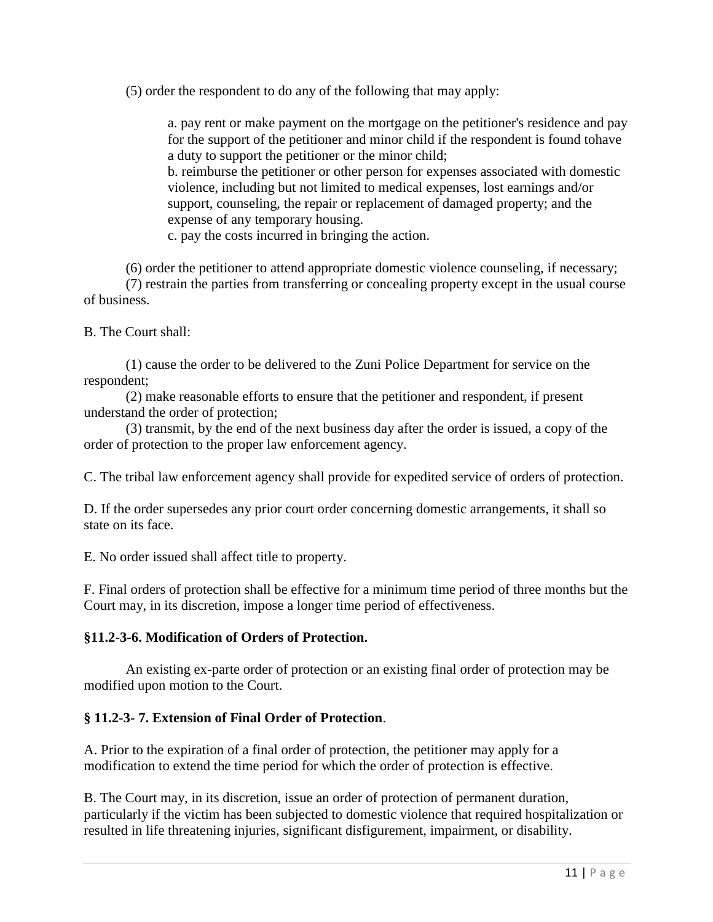(5) order the respondent to do any of the following that may apply:

a. pay rent or make payment on the mortgage on the petitioner's residence and pay for the support of the petitioner and minor child if the respondent is found tohave a duty to support the petitioner or the minor child;

b. reimburse the petitioner or other person for expenses associated with domestic violence, including but not limited to medical expenses, lost earnings and/or support, counseling, the repair or replacement of damaged property; and the expense of any temporary housing.

c. pay the costs incurred in bringing the action.

(6) order the petitioner to attend appropriate domestic violence counseling, if necessary; (7) restrain the parties from transferring or concealing property except in the usual course of business.

B. The Court shall:

(1) cause the order to be delivered to the Zuni Police Department for service on the respondent;

(2) make reasonable efforts to ensure that the petitioner and respondent, if present understand the order of protection;

(3) transmit, by the end of the next business day after the order is issued, a copy of the order of protection to the proper law enforcement agency.

C. The tribal law enforcement agency shall provide for expedited service of orders of protection.

D. If the order supersedes any prior court order concerning domestic arrangements, it shall so state on its face.

E. No order issued shall affect title to property.

F. Final orders of protection shall be effective for a minimum time period of three months but the Court may, in its discretion, impose a longer time period of effectiveness.

#### **§11.2-3-6. Modification of Orders of Protection.**

An existing ex-parte order of protection or an existing final order of protection may be modified upon motion to the Court.

# **§ 11.2-3- 7. Extension of Final Order of Protection**.

A. Prior to the expiration of a final order of protection, the petitioner may apply for a modification to extend the time period for which the order of protection is effective.

B. The Court may, in its discretion, issue an order of protection of permanent duration, particularly if the victim has been subjected to domestic violence that required hospitalization or resulted in life threatening injuries, significant disfigurement, impairment, or disability.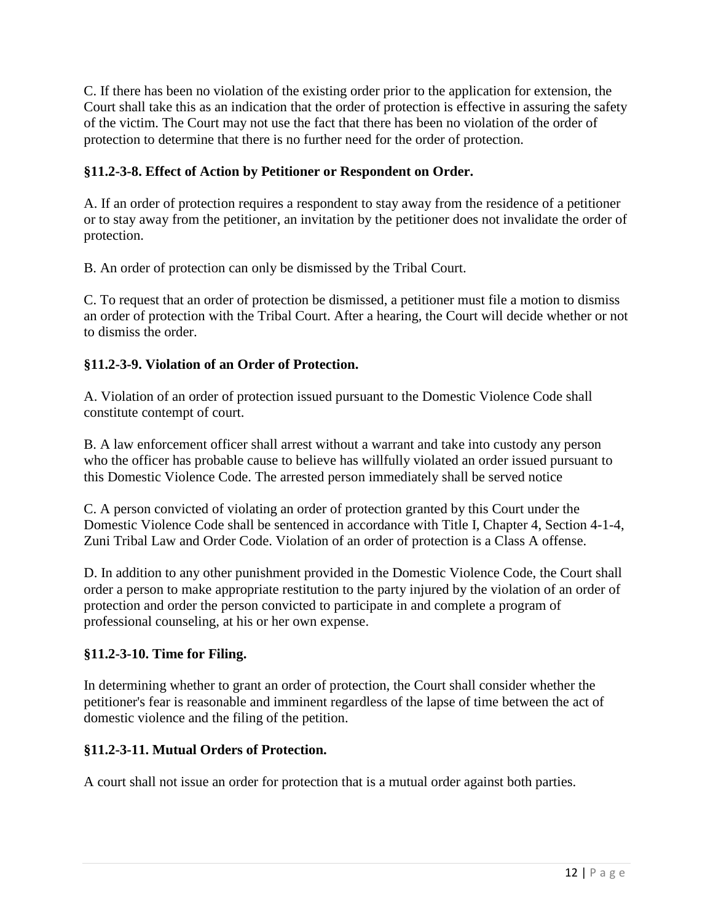C. If there has been no violation of the existing order prior to the application for extension, the Court shall take this as an indication that the order of protection is effective in assuring the safety of the victim. The Court may not use the fact that there has been no violation of the order of protection to determine that there is no further need for the order of protection.

# **§11.2-3-8. Effect of Action by Petitioner or Respondent on Order.**

A. If an order of protection requires a respondent to stay away from the residence of a petitioner or to stay away from the petitioner, an invitation by the petitioner does not invalidate the order of protection.

B. An order of protection can only be dismissed by the Tribal Court.

C. To request that an order of protection be dismissed, a petitioner must file a motion to dismiss an order of protection with the Tribal Court. After a hearing, the Court will decide whether or not to dismiss the order.

# **§11.2-3-9. Violation of an Order of Protection.**

A. Violation of an order of protection issued pursuant to the Domestic Violence Code shall constitute contempt of court.

B. A law enforcement officer shall arrest without a warrant and take into custody any person who the officer has probable cause to believe has willfully violated an order issued pursuant to this Domestic Violence Code. The arrested person immediately shall be served notice

C. A person convicted of violating an order of protection granted by this Court under the Domestic Violence Code shall be sentenced in accordance with Title I, Chapter 4, Section 4-1-4, Zuni Tribal Law and Order Code. Violation of an order of protection is a Class A offense.

D. In addition to any other punishment provided in the Domestic Violence Code, the Court shall order a person to make appropriate restitution to the party injured by the violation of an order of protection and order the person convicted to participate in and complete a program of professional counseling, at his or her own expense.

# **§11.2-3-10. Time for Filing.**

In determining whether to grant an order of protection, the Court shall consider whether the petitioner's fear is reasonable and imminent regardless of the lapse of time between the act of domestic violence and the filing of the petition.

# **§11.2-3-11. Mutual Orders of Protection.**

A court shall not issue an order for protection that is a mutual order against both parties.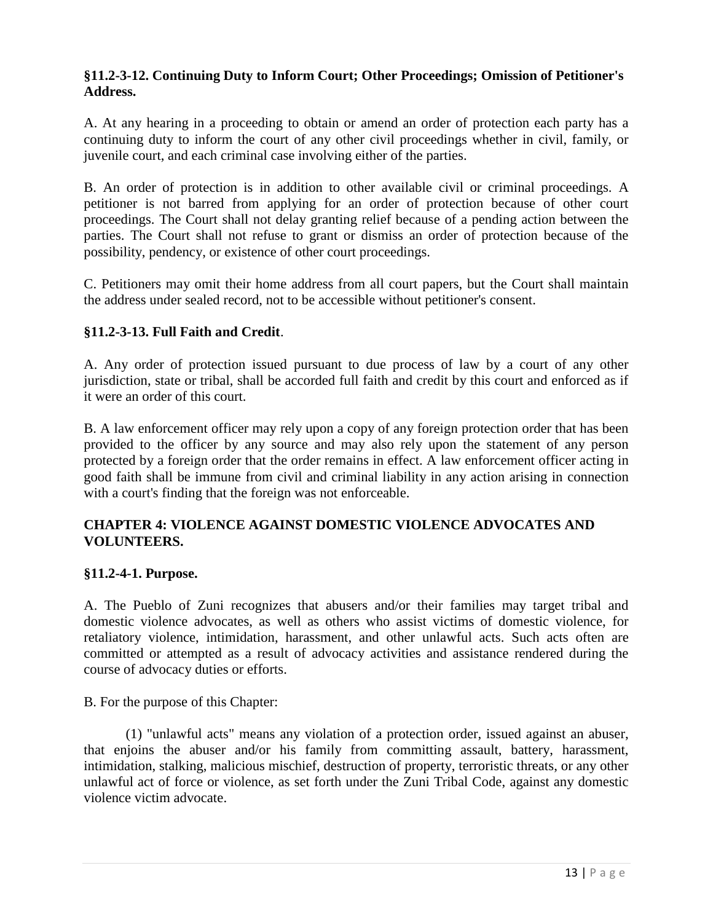#### **§11.2-3-12. Continuing Duty to Inform Court; Other Proceedings; Omission of Petitioner's Address.**

A. At any hearing in a proceeding to obtain or amend an order of protection each party has a continuing duty to inform the court of any other civil proceedings whether in civil, family, or juvenile court, and each criminal case involving either of the parties.

B. An order of protection is in addition to other available civil or criminal proceedings. A petitioner is not barred from applying for an order of protection because of other court proceedings. The Court shall not delay granting relief because of a pending action between the parties. The Court shall not refuse to grant or dismiss an order of protection because of the possibility, pendency, or existence of other court proceedings.

C. Petitioners may omit their home address from all court papers, but the Court shall maintain the address under sealed record, not to be accessible without petitioner's consent.

# **§11.2-3-13. Full Faith and Credit**.

A. Any order of protection issued pursuant to due process of law by a court of any other jurisdiction, state or tribal, shall be accorded full faith and credit by this court and enforced as if it were an order of this court.

B. A law enforcement officer may rely upon a copy of any foreign protection order that has been provided to the officer by any source and may also rely upon the statement of any person protected by a foreign order that the order remains in effect. A law enforcement officer acting in good faith shall be immune from civil and criminal liability in any action arising in connection with a court's finding that the foreign was not enforceable.

#### **CHAPTER 4: VIOLENCE AGAINST DOMESTIC VIOLENCE ADVOCATES AND VOLUNTEERS.**

#### **§11.2-4-1. Purpose.**

A. The Pueblo of Zuni recognizes that abusers and/or their families may target tribal and domestic violence advocates, as well as others who assist victims of domestic violence, for retaliatory violence, intimidation, harassment, and other unlawful acts. Such acts often are committed or attempted as a result of advocacy activities and assistance rendered during the course of advocacy duties or efforts.

B. For the purpose of this Chapter:

(1) "unlawful acts" means any violation of a protection order, issued against an abuser, that enjoins the abuser and/or his family from committing assault, battery, harassment, intimidation, stalking, malicious mischief, destruction of property, terroristic threats, or any other unlawful act of force or violence, as set forth under the Zuni Tribal Code, against any domestic violence victim advocate.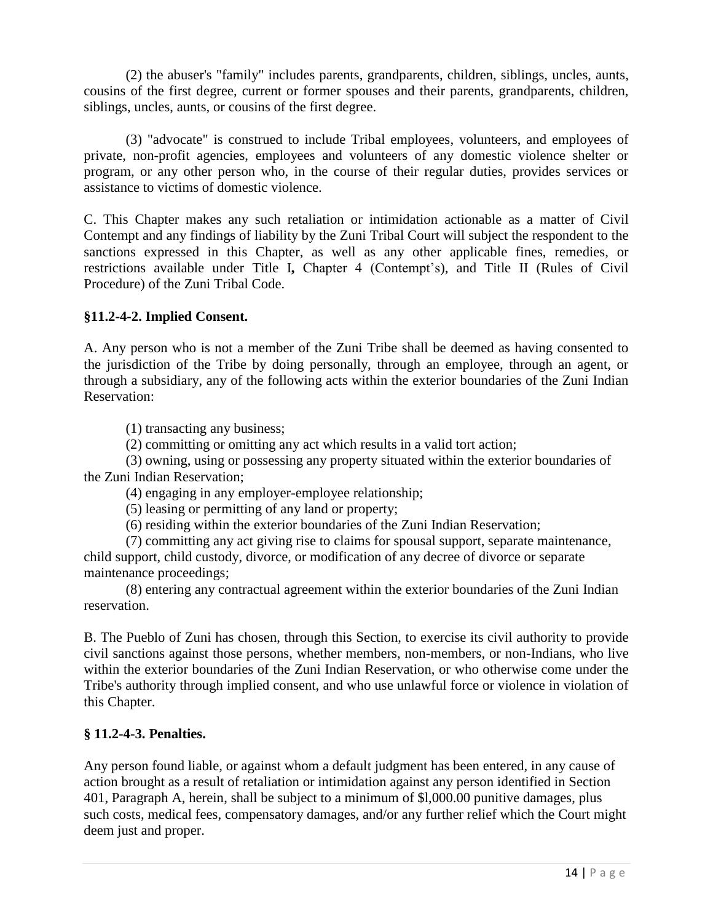(2) the abuser's "family" includes parents, grandparents, children, siblings, uncles, aunts, cousins of the first degree, current or former spouses and their parents, grandparents, children, siblings, uncles, aunts, or cousins of the first degree.

(3) "advocate" is construed to include Tribal employees, volunteers, and employees of private, non-profit agencies, employees and volunteers of any domestic violence shelter or program, or any other person who, in the course of their regular duties, provides services or assistance to victims of domestic violence.

C. This Chapter makes any such retaliation or intimidation actionable as a matter of Civil Contempt and any findings of liability by the Zuni Tribal Court will subject the respondent to the sanctions expressed in this Chapter, as well as any other applicable fines, remedies, or restrictions available under Title I**,** Chapter 4 (Contempt's), and Title II (Rules of Civil Procedure) of the Zuni Tribal Code.

# **§11.2-4-2. Implied Consent.**

A. Any person who is not a member of the Zuni Tribe shall be deemed as having consented to the jurisdiction of the Tribe by doing personally, through an employee, through an agent, or through a subsidiary, any of the following acts within the exterior boundaries of the Zuni Indian Reservation:

(1) transacting any business;

(2) committing or omitting any act which results in a valid tort action;

(3) owning, using or possessing any property situated within the exterior boundaries of the Zuni Indian Reservation;

(4) engaging in any employer-employee relationship;

(5) leasing or permitting of any land or property;

(6) residing within the exterior boundaries of the Zuni Indian Reservation;

(7) committing any act giving rise to claims for spousal support, separate maintenance, child support, child custody, divorce, or modification of any decree of divorce or separate maintenance proceedings;

(8) entering any contractual agreement within the exterior boundaries of the Zuni Indian reservation.

B. The Pueblo of Zuni has chosen, through this Section, to exercise its civil authority to provide civil sanctions against those persons, whether members, non-members, or non-Indians, who live within the exterior boundaries of the Zuni Indian Reservation, or who otherwise come under the Tribe's authority through implied consent, and who use unlawful force or violence in violation of this Chapter.

#### **§ 11.2-4-3. Penalties.**

Any person found liable, or against whom a default judgment has been entered, in any cause of action brought as a result of retaliation or intimidation against any person identified in Section 401, Paragraph A, herein, shall be subject to a minimum of \$l,000.00 punitive damages, plus such costs, medical fees, compensatory damages, and/or any further relief which the Court might deem just and proper.